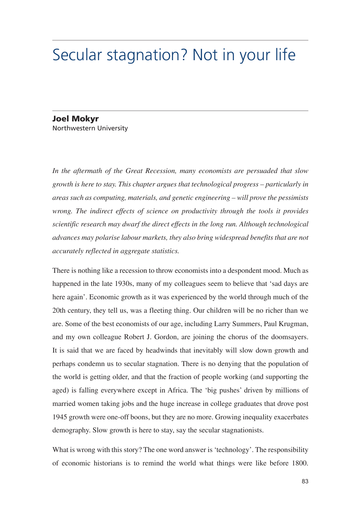## Secular stagnation? Not in your life

## **Joel Mokvr** Northwestern University

In the aftermath of the Great Recession, many economists are persuaded that slow growth is here to stay. This chapter argues that technological progress – particularly in areas such as computing, materials, and genetic engineering  $-$  will prove the pessimists wrong. The indirect effects of science on productivity through the tools it provides scientific research may dwarf the direct effects in the long run. Although technological advances may polarise labour markets, they also bring widespread benefits that are not accurately reflected in aggregate statistics.

There is nothing like a recession to throw economists into a despondent mood. Much as happened in the late 1930s, many of my colleagues seem to believe that 'sad days are here again'. Economic growth as it was experienced by the world through much of the 20th century, they tell us, was a fleeting thing. Our children will be no richer than we are. Some of the best economists of our age, including Larry Summers, Paul Krugman, and my own colleague Robert J. Gordon, are joining the chorus of the doomsayers. It is said that we are faced by headwinds that inevitably will slow down growth and perhaps condemn us to secular stagnation. There is no denying that the population of the world is getting older, and that the fraction of people working (and supporting the aged) is falling everywhere except in Africa. The 'big pushes' driven by millions of married women taking jobs and the huge increase in college graduates that drove post 1945 growth were one-off boons, but they are no more. Growing inequality exacerbates demography. Slow growth is here to stay, say the secular stagnationists.

What is wrong with this story? The one word answer is 'technology'. The responsibility of economic historians is to remind the world what things were like before 1800.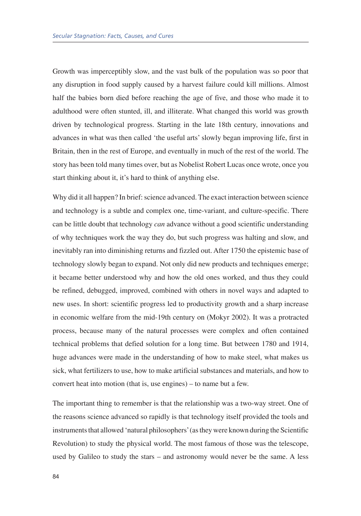Growth was imperceptibly slow, and the vast bulk of the population was so poor that any disruption in food supply caused by a harvest failure could kill millions. Almost half the babies born died before reaching the age of five, and those who made it to adulthood were often stunted, ill, and illiterate. What changed this world was growth driven by technological progress. Starting in the late 18th century, innovations and advances in what was then called 'the useful arts' slowly began improving life, first in Britain, then in the rest of Europe, and eventually in much of the rest of the world. The story has been told many times over, but as Nobelist Robert Lucas once wrote, once you start thinking about it, it's hard to think of anything else.

Why did it all happen? In brief: science advanced. The exact interaction between science and technology is a subtle and complex one, time-variant, and culture-specific. There can be little doubt that technology can advance without a good scientific understanding of why techniques work the way they do, but such progress was halting and slow, and inevitably ran into diminishing returns and fizzled out. After 1750 the epistemic base of technology slowly began to expand. Not only did new products and techniques emerge; it became better understood why and how the old ones worked, and thus they could be refined, debugged, improved, combined with others in novel ways and adapted to new uses. In short: scientific progress led to productivity growth and a sharp increase in economic welfare from the mid-19th century on (Mokyr 2002). It was a protracted process, because many of the natural processes were complex and often contained technical problems that defied solution for a long time. But between 1780 and 1914, huge advances were made in the understanding of how to make steel, what makes us sick, what fertilizers to use, how to make artificial substances and materials, and how to convert heat into motion (that is, use engines) – to name but a few.

The important thing to remember is that the relationship was a two-way street. One of the reasons science advanced so rapidly is that technology itself provided the tools and instruments that allowed 'natural philosophers' (as they were known during the Scientific Revolution) to study the physical world. The most famous of those was the telescope, used by Galileo to study the stars – and astronomy would never be the same. A less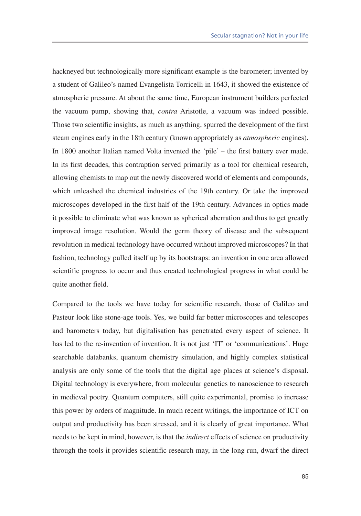hackneyed but technologically more significant example is the barometer; invented by a student of Galileo's named Evangelista Torricelli in 1643, it showed the existence of atmospheric pressure. At about the same time, European instrument builders perfected the vacuum pump, showing that, *contra* Aristotle, a vacuum was indeed possible. Those two scientific insights, as much as anything, spurred the development of the first steam engines early in the 18th century (known appropriately as *atmospheric* engines). In 1800 another Italian named Volta invented the 'pile' – the first battery ever made. In its first decades, this contraption served primarily as a tool for chemical research, allowing chemists to map out the newly discovered world of elements and compounds, which unleashed the chemical industries of the 19th century. Or take the improved microscopes developed in the first half of the 19th century. Advances in optics made it possible to eliminate what was known as spherical aberration and thus to get greatly improved image resolution. Would the germ theory of disease and the subsequent revolution in medical technology have occurred without improved microscopes? In that fashion, technology pulled itself up by its bootstraps: an invention in one area allowed scientific progress to occur and thus created technological progress in what could be quite another field.

Compared to the tools we have today for scientific research, those of Galileo and Pasteur look like stone-age tools. Yes, we build far better microscopes and telescopes and barometers today, but digitalisation has penetrated every aspect of science. It has led to the re-invention of invention. It is not just 'IT' or 'communications'. Huge searchable databanks, quantum chemistry simulation, and highly complex statistical analysis are only some of the tools that the digital age places at science's disposal. Digital technology is everywhere, from molecular genetics to nanoscience to research in medieval poetry. Quantum computers, still quite experimental, promise to increase this power by orders of magnitude. In much recent writings, the importance of ICT on output and productivity has been stressed, and it is clearly of great importance. What needs to be kept in mind, however, is that the *indirect* effects of science on productivity through the tools it provides scientific research may, in the long run, dwarf the direct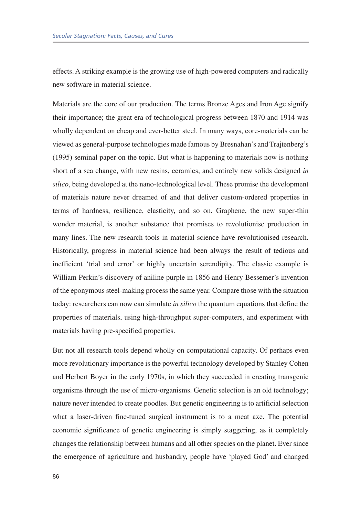effects. A striking example is the growing use of high-powered computers and radically new software in material science.

Materials are the core of our production. The terms Bronze Ages and Iron Age signify their importance; the great era of technological progress between 1870 and 1914 was wholly dependent on cheap and ever-better steel. In many ways, core-materials can be viewed as general-purpose technologies made famous by Bresnahan's and Trajtenberg's (1995) seminal paper on the topic. But what is happening to materials now is nothing short of a sea change, with new resins, ceramics, and entirely new solids designed in *silico*, being developed at the nano-technological level. These promise the development of materials nature never dreamed of and that deliver custom-ordered properties in terms of hardness, resilience, elasticity, and so on. Graphene, the new super-thin wonder material, is another substance that promises to revolutionise production in many lines. The new research tools in material science have revolutionised research. Historically, progress in material science had been always the result of tedious and inefficient 'trial and error' or highly uncertain serendipity. The classic example is William Perkin's discovery of aniline purple in 1856 and Henry Bessemer's invention of the eponymous steel-making process the same year. Compare those with the situation today: researchers can now can simulate *in silico* the quantum equations that define the properties of materials, using high-throughput super-computers, and experiment with materials having pre-specified properties.

But not all research tools depend wholly on computational capacity. Of perhaps even more revolutionary importance is the powerful technology developed by Stanley Cohen and Herbert Boyer in the early 1970s, in which they succeeded in creating transgenic organisms through the use of micro-organisms. Genetic selection is an old technology; nature never intended to create poodles. But genetic engineering is to artificial selection what a laser-driven fine-tuned surgical instrument is to a meat axe. The potential economic significance of genetic engineering is simply staggering, as it completely changes the relationship between humans and all other species on the planet. Ever since the emergence of agriculture and husbandry, people have 'played God' and changed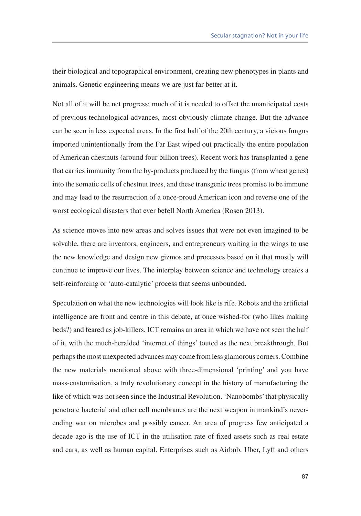their biological and topographical environment, creating new phenotypes in plants and animals. Genetic engineering means we are just far better at it.

Not all of it will be net progress; much of it is needed to offset the unanticipated costs of previous technological advances, most obviously climate change. But the advance can be seen in less expected areas. In the first half of the 20th century, a vicious fungus imported unintentionally from the Far East wiped out practically the entire population of American chestnuts (around four billion trees). Recent work has transplanted a gene that carries immunity from the by-products produced by the fungus (from wheat genes) into the somatic cells of chestnut trees, and these transgenic trees promise to be immune and may lead to the resurrection of a once-proud American icon and reverse one of the worst ecological disasters that ever befell North America (Rosen 2013).

As science moves into new areas and solves issues that were not even imagined to be solvable, there are inventors, engineers, and entrepreneurs waiting in the wings to use the new knowledge and design new gizmos and processes based on it that mostly will continue to improve our lives. The interplay between science and technology creates a self-reinforcing or 'auto-catalytic' process that seems unbounded.

Speculation on what the new technologies will look like is rife. Robots and the artificial intelligence are front and centre in this debate, at once wished-for (who likes making beds?) and feared as job-killers. ICT remains an area in which we have not seen the half of it, with the much-heralded 'internet of things' touted as the next breakthrough. But perhaps the most unexpected advances may come from less glamorous corners. Combine the new materials mentioned above with three-dimensional 'printing' and you have mass-customisation, a truly revolutionary concept in the history of manufacturing the like of which was not seen since the Industrial Revolution. 'Nanobombs' that physically penetrate bacterial and other cell membranes are the next weapon in mankind's neverending war on microbes and possibly cancer. An area of progress few anticipated a decade ago is the use of ICT in the utilisation rate of fixed assets such as real estate and cars, as well as human capital. Enterprises such as Airbnb, Uber, Lyft and others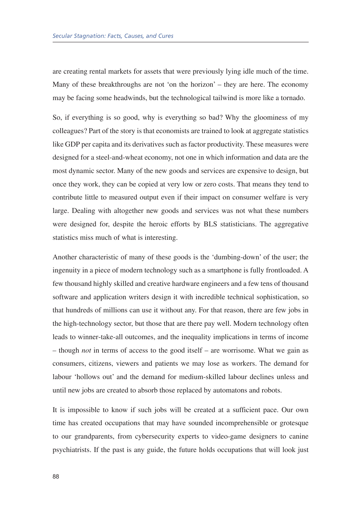are creating rental markets for assets that were previously lying idle much of the time. Many of these breakthroughs are not 'on the horizon' – they are here. The economy may be facing some headwinds, but the technological tailwind is more like a tornado.

So, if everything is so good, why is everything so bad? Why the gloominess of my colleagues? Part of the story is that economists are trained to look at aggregate statistics like GDP per capita and its derivatives such as factor productivity. These measures were designed for a steel-and-wheat economy, not one in which information and data are the most dynamic sector. Many of the new goods and services are expensive to design, but once they work, they can be copied at very low or zero costs. That means they tend to contribute little to measured output even if their impact on consumer welfare is very large. Dealing with altogether new goods and services was not what these numbers were designed for, despite the heroic efforts by BLS statisticians. The aggregative statistics miss much of what is interesting.

Another characteristic of many of these goods is the 'dumbing-down' of the user; the ingenuity in a piece of modern technology such as a smartphone is fully frontloaded. A few thousand highly skilled and creative hardware engineers and a few tens of thousand software and application writers design it with incredible technical sophistication, so that hundreds of millions can use it without any. For that reason, there are few jobs in the high-technology sector, but those that are there pay well. Modern technology often leads to winner-take-all outcomes, and the inequality implications in terms of income  $-$  though *not* in terms of access to the good itself  $-$  are worrisome. What we gain as consumers, citizens, viewers and patients we may lose as workers. The demand for labour 'hollows out' and the demand for medium-skilled labour declines unless and until new jobs are created to absorb those replaced by automatons and robots.

It is impossible to know if such jobs will be created at a sufficient pace. Our own time has created occupations that may have sounded incomprehensible or grotesque to our grandparents, from cybersecurity experts to video-game designers to canine psychiatrists. If the past is any guide, the future holds occupations that will look just